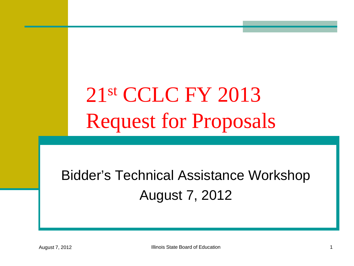# 21st CCLC FY 2013 Request for Proposals

### Bidder's Technical Assistance Workshop August 7, 2012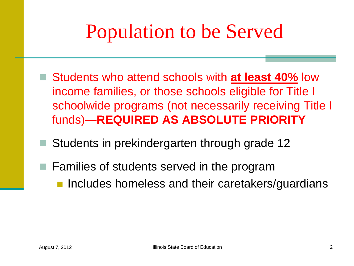## Population to be Served

- Students who attend schools with **at least 40%** low income families, or those schools eligible for Title I schoolwide programs (not necessarily receiving Title I funds)—**REQUIRED AS ABSOLUTE PRIORITY**
- Students in prekindergarten through grade 12
- **Families of students served in the program Includes homeless and their caretakers/guardians**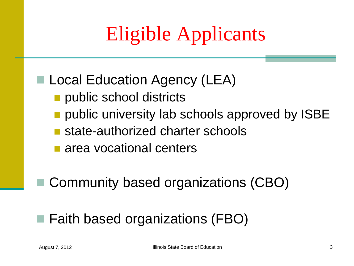# Eligible Applicants

#### ■ Local Education Agency (LEA)

- public school districts
- public university lab schools approved by ISBE
- state-authorized charter schools
- **n** area vocational centers

■ Community based organizations (CBO)

#### ■ Faith based organizations (FBO)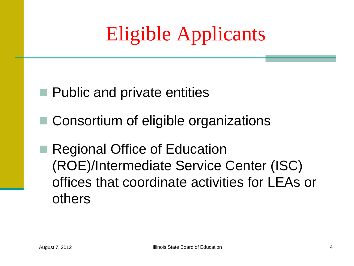## Eligible Applicants

- **Public and private entities**
- Consortium of eligible organizations
- Regional Office of Education (ROE)/Intermediate Service Center (ISC) offices that coordinate activities for LEAs or others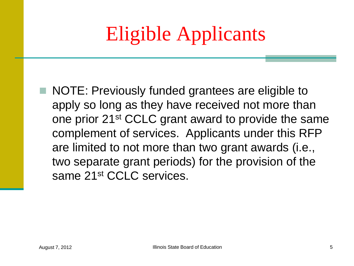# Eligible Applicants

NOTE: Previously funded grantees are eligible to apply so long as they have received not more than one prior 21st CCLC grant award to provide the same complement of services. Applicants under this RFP are limited to not more than two grant awards (i.e., two separate grant periods) for the provision of the same 21<sup>st</sup> CCLC services.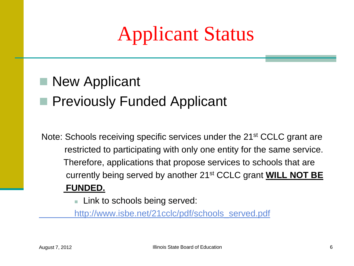### Applicant Status

### ■ New Applicant **Previously Funded Applicant**

Note: Schools receiving specific services under the 21<sup>st</sup> CCLC grant are restricted to participating with only one entity for the same service. Therefore, applications that propose services to schools that are currently being served by another 21st CCLC grant **WILL NOT BE FUNDED.** 

**Link to schools being served:** 

 [http://www.isbe.net/21cclc/pdf/schools\\_served.pdf](http://www.isbe.net/21cclc/pdf/schools_served.pdf)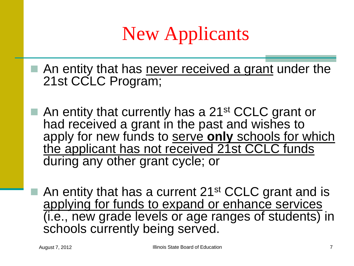### New Applicants

- An entity that has never received a grant under the 21st CCLC Program;
- An entity that currently has a 21<sup>st</sup> CCLC grant or had received a grant in the past and wishes to apply for new funds to serve only schools for which the applicant has not received 21st CCLC funds during any other grant cycle; or
	- An entity that has a current 21<sup>st</sup> CCLC grant and is applying for funds to expand or enhance services (i.e., new grade levels or age ranges of students) in schools currently being served.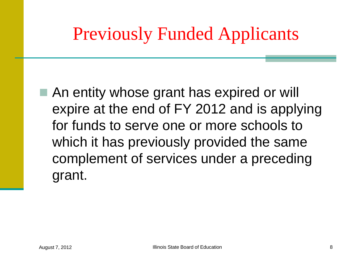### Previously Funded Applicants

■ An entity whose grant has expired or will expire at the end of FY 2012 and is applying for funds to serve one or more schools to which it has previously provided the same complement of services under a preceding grant.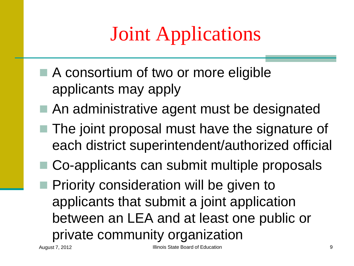# Joint Applications

- A consortium of two or more eligible applicants may apply
- An administrative agent must be designated
- The joint proposal must have the signature of each district superintendent/authorized official
- Co-applicants can submit multiple proposals
- Priority consideration will be given to applicants that submit a joint application between an LEA and at least one public or private community organization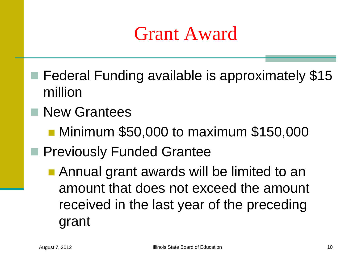### Grant Award

- Federal Funding available is approximately \$15 million
- **New Grantees** 
	- Minimum \$50,000 to maximum \$150,000
- **Previously Funded Grantee** 
	- Annual grant awards will be limited to an amount that does not exceed the amount received in the last year of the preceding grant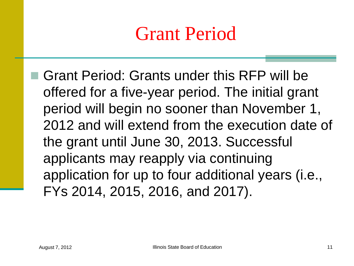### Grant Period

 Grant Period: Grants under this RFP will be offered for a five-year period. The initial grant period will begin no sooner than November 1, 2012 and will extend from the execution date of the grant until June 30, 2013. Successful applicants may reapply via continuing application for up to four additional years (i.e., FYs 2014, 2015, 2016, and 2017).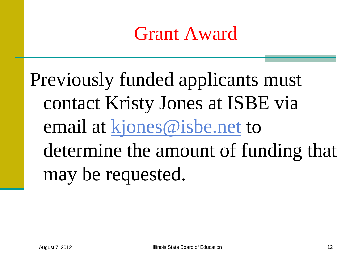### Grant Award

Previously funded applicants must contact Kristy Jones at ISBE via email at [kjones@isbe.net](mailto:kjones@isbe.net) to determine the amount of funding that may be requested.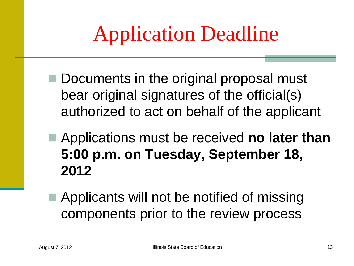# Application Deadline

- Documents in the original proposal must bear original signatures of the official(s) authorized to act on behalf of the applicant
- Applications must be received **no later than 5:00 p.m. on Tuesday, September 18, 2012**
- Applicants will not be notified of missing components prior to the review process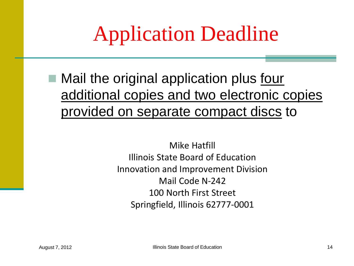# Application Deadline

■ Mail the original application plus four additional copies and two electronic copies provided on separate compact discs to

> Mike Hatfill Illinois State Board of Education Innovation and Improvement Division Mail Code N-242 100 North First Street Springfield, Illinois 62777-0001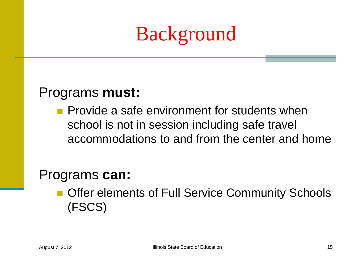## Background

#### Programs **must:**

**Provide a safe environment for students when** school is not in session including safe travel accommodations to and from the center and home

#### Programs **can:**

**Offer elements of Full Service Community Schools** (FSCS)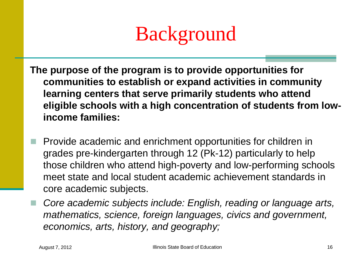

- **The purpose of the program is to provide opportunities for communities to establish or expand activities in community learning centers that serve primarily students who attend eligible schools with a high concentration of students from lowincome families:** 
	- Provide academic and enrichment opportunities for children in grades pre-kindergarten through 12 (Pk-12) particularly to help those children who attend high-poverty and low-performing schools meet state and local student academic achievement standards in core academic subjects.
	- *Core academic subjects include: English, reading or language arts, mathematics, science, foreign languages, civics and government, economics, arts, history, and geography;*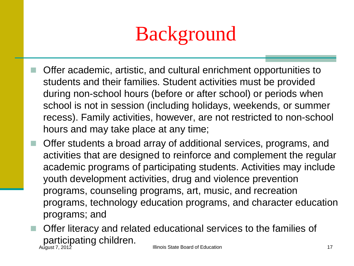

- Offer academic, artistic, and cultural enrichment opportunities to students and their families. Student activities must be provided during non-school hours (before or after school) or periods when school is not in session (including holidays, weekends, or summer recess). Family activities, however, are not restricted to non-school hours and may take place at any time;
	- Offer students a broad array of additional services, programs, and activities that are designed to reinforce and complement the regular academic programs of participating students. Activities may include youth development activities, drug and violence prevention programs, counseling programs, art, music, and recreation programs, technology education programs, and character education programs; and

 Offer literacy and related educational services to the families of participating children. August 7, 2012 Illinois State Board of Education 17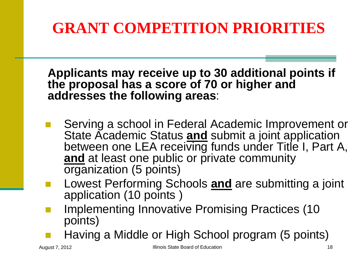**Applicants may receive up to 30 additional points if the proposal has a score of 70 or higher and addresses the following areas**:

- Serving a school in Federal Academic Improvement or State Academic Status **and** submit a joint application between one LEA receiving funds under Title I, Part A, and at least one public or private community organization (5 points)
- Lowest Performing Schools **and** are submitting a joint application (10 points )
- Implementing Innovative Promising Practices (10 points)
- Having a Middle or High School program (5 points)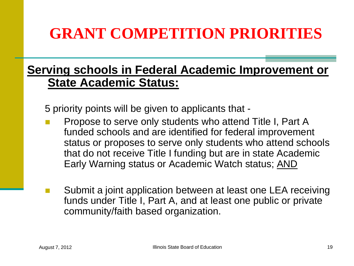#### **Serving schools in Federal Academic Improvement or State Academic Status:**

5 priority points will be given to applicants that -

- Propose to serve only students who attend Title I, Part A funded schools and are identified for federal improvement status or proposes to serve only students who attend schools that do not receive Title I funding but are in state Academic Early Warning status or Academic Watch status; AND
- Submit a joint application between at least one LEA receiving funds under Title I, Part A, and at least one public or private community/faith based organization.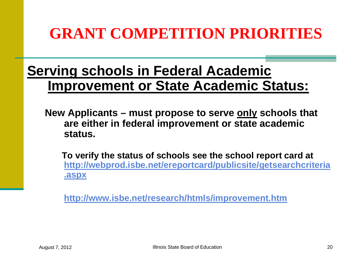#### **Serving schools in Federal Academic Improvement or State Academic Status:**

**New Applicants – must propose to serve only schools that are either in federal improvement or state academic status.**

 **To verify the status of schools see the school report card at [http://webprod.isbe.net/ereportcard/publicsite/getsearchcriteria](http://webprod.isbe.net/ereportcard/publicsite/getsearchcriteria.aspx) [.aspx](http://webprod.isbe.net/ereportcord/publicsite/getsearchcriteria.aspx)**

**[http://www.isbe.net/research/htmls/improvement.htm](http://www.isbe.net/sos/htmls/improvement.htm)**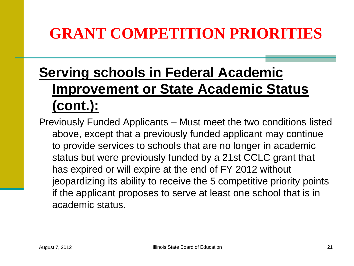#### **Serving schools in Federal Academic Improvement or State Academic Status (cont.):**

Previously Funded Applicants – Must meet the two conditions listed above, except that a previously funded applicant may continue to provide services to schools that are no longer in academic status but were previously funded by a 21st CCLC grant that has expired or will expire at the end of FY 2012 without jeopardizing its ability to receive the 5 competitive priority points if the applicant proposes to serve at least one school that is in academic status.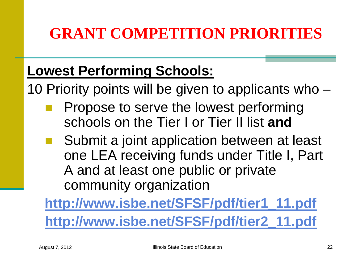#### **Lowest Performing Schools:**

10 Priority points will be given to applicants who –

- Propose to serve the lowest performing schools on the Tier I or Tier II list **and**
- Submit a joint application between at least one LEA receiving funds under Title I, Part A and at least one public or private community organization

**[http://www.isbe.net/SFSF/pdf/tier1\\_11.pdf](http://www.isbe.net/SFSF/pdf/tier1_11.pdf) [http://www.isbe.net/SFSF/pdf/tier2\\_11.pdf](http://www.isbe.net/SFSF/pdf/tier2_11.pdf)**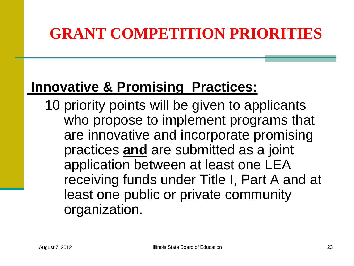#### **Innovative & Promising Practices:**

10 priority points will be given to applicants who propose to implement programs that are innovative and incorporate promising practices **and** are submitted as a joint application between at least one LEA receiving funds under Title I, Part A and at least one public or private community organization.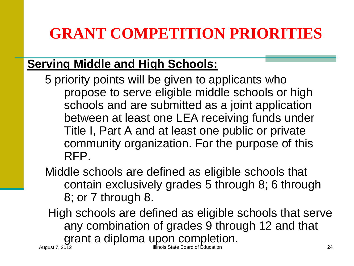#### **Serving Middle and High Schools:**

5 priority points will be given to applicants who propose to serve eligible middle schools or high schools and are submitted as a joint application between at least one LEA receiving funds under Title I, Part A and at least one public or private community organization. For the purpose of this RFP.

Middle schools are defined as eligible schools that contain exclusively grades 5 through 8; 6 through 8; or 7 through 8.

High schools are defined as eligible schools that serve any combination of grades 9 through 12 and that grant a diploma upon completion.

Illinois State Board of Education 24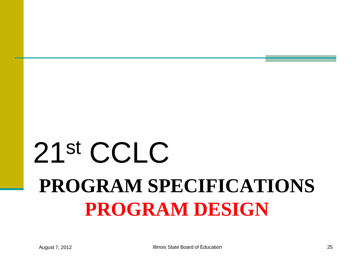# **PROGRAM SPECIFICATIONS PROGRAM DESIGN** 21st CCLC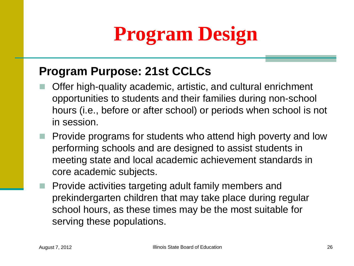# **Program Design**

#### **Program Purpose: 21st CCLCs**

- Offer high-quality academic, artistic, and cultural enrichment opportunities to students and their families during non-school hours (i.e., before or after school) or periods when school is not in session.
- $\blacksquare$  Provide programs for students who attend high poverty and low performing schools and are designed to assist students in meeting state and local academic achievement standards in core academic subjects.
	- Provide activities targeting adult family members and prekindergarten children that may take place during regular school hours, as these times may be the most suitable for serving these populations.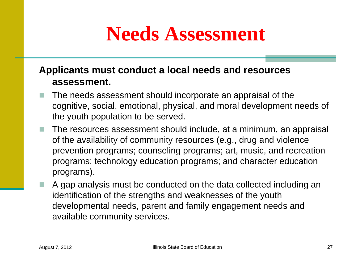### **Needs Assessment**

#### **Applicants must conduct a local needs and resources assessment.**

- The needs assessment should incorporate an appraisal of the cognitive, social, emotional, physical, and moral development needs of the youth population to be served.
- The resources assessment should include, at a minimum, an appraisal of the availability of community resources (e.g., drug and violence prevention programs; counseling programs; art, music, and recreation programs; technology education programs; and character education programs).
- A gap analysis must be conducted on the data collected including an identification of the strengths and weaknesses of the youth developmental needs, parent and family engagement needs and available community services.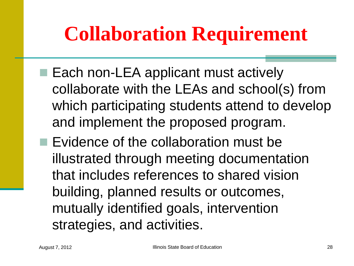## **Collaboration Requirement**

- Each non-LEA applicant must actively collaborate with the LEAs and school(s) from which participating students attend to develop and implement the proposed program.
- $\blacksquare$  Evidence of the collaboration must be illustrated through meeting documentation that includes references to shared vision building, planned results or outcomes, mutually identified goals, intervention strategies, and activities.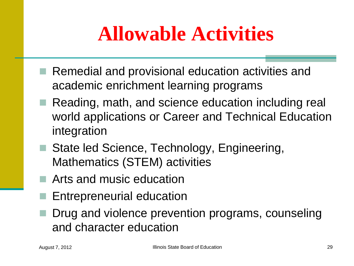# **Allowable Activities**

- Remedial and provisional education activities and academic enrichment learning programs
- Reading, math, and science education including real world applications or Career and Technical Education integration
- State led Science, Technology, Engineering, Mathematics (STEM) activities
- Arts and music education
- Entrepreneurial education
- Drug and violence prevention programs, counseling and character education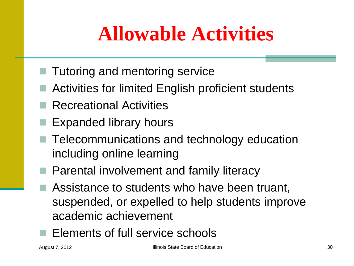# **Allowable Activities**

- $\blacksquare$  Tutoring and mentoring service
- Activities for limited English proficient students
- Recreational Activities
- Expanded library hours
- Telecommunications and technology education including online learning
- **Parental involvement and family literacy** 
	- Assistance to students who have been truant, suspended, or expelled to help students improve academic achievement
- Elements of full service schools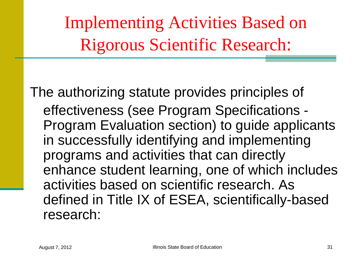Implementing Activities Based on Rigorous Scientific Research:

The authorizing statute provides principles of effectiveness (see Program Specifications - Program Evaluation section) to guide applicants in successfully identifying and implementing programs and activities that can directly enhance student learning, one of which includes activities based on scientific research. As defined in Title IX of ESEA, scientifically-based research: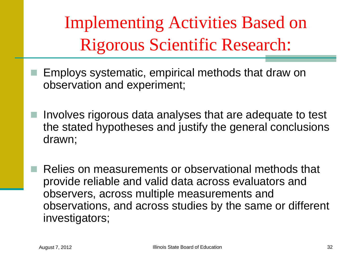Implementing Activities Based on Rigorous Scientific Research:

- Employs systematic, empirical methods that draw on observation and experiment;
- Involves rigorous data analyses that are adequate to test the stated hypotheses and justify the general conclusions drawn;

 Relies on measurements or observational methods that provide reliable and valid data across evaluators and observers, across multiple measurements and observations, and across studies by the same or different investigators;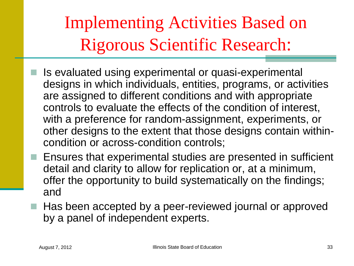Implementing Activities Based on Rigorous Scientific Research:

- Is evaluated using experimental or quasi-experimental designs in which individuals, entities, programs, or activities are assigned to different conditions and with appropriate controls to evaluate the effects of the condition of interest, with a preference for random-assignment, experiments, or other designs to the extent that those designs contain withincondition or across-condition controls;
- **E** Ensures that experimental studies are presented in sufficient detail and clarity to allow for replication or, at a minimum, offer the opportunity to build systematically on the findings; and
- Has been accepted by a peer-reviewed journal or approved by a panel of independent experts.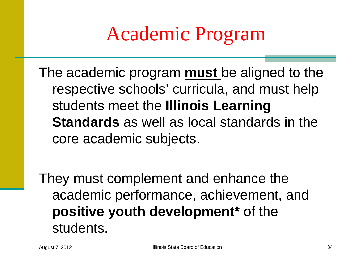## Academic Program

The academic program **must** be aligned to the respective schools' curricula, and must help students meet the **Illinois Learning Standards** as well as local standards in the core academic subjects.

They must complement and enhance the academic performance, achievement, and **positive youth development\*** of the students.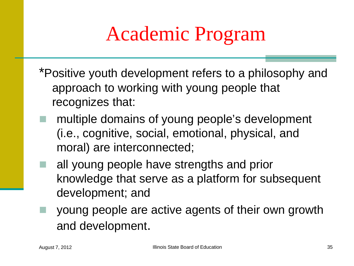# Academic Program

- \*Positive youth development refers to a philosophy and approach to working with young people that recognizes that:
- multiple domains of young people's development (i.e., cognitive, social, emotional, physical, and moral) are interconnected;
- all young people have strengths and prior knowledge that serve as a platform for subsequent development; and
- young people are active agents of their own growth and development.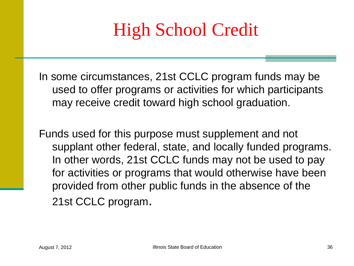### High School Credit

In some circumstances, 21st CCLC program funds may be used to offer programs or activities for which participants may receive credit toward high school graduation.

Funds used for this purpose must supplement and not supplant other federal, state, and locally funded programs. In other words, 21st CCLC funds may not be used to pay for activities or programs that would otherwise have been provided from other public funds in the absence of the 21st CCLC program.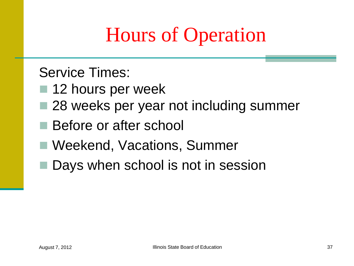## Hours of Operation

Service Times:

- 12 hours per week
- 28 weeks per year not including summer
- Before or after school
- Weekend, Vacations, Summer
- Days when school is not in session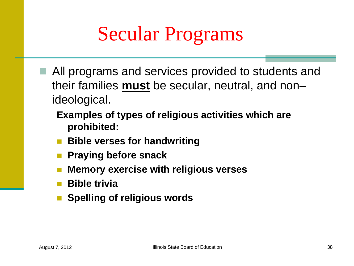## Secular Programs

- All programs and services provided to students and their families **must** be secular, neutral, and non– ideological.
	- **Examples of types of religious activities which are prohibited:**
	- **Bible verses for handwriting**
	- **Praying before snack**
	- **Memory exercise with religious verses**
	- **Bible trivia**
	- **Spelling of religious words**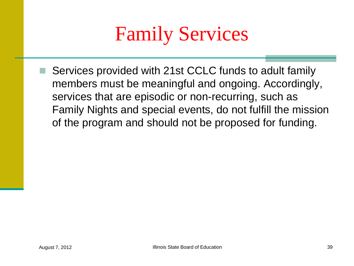## Family Services

 Services provided with 21st CCLC funds to adult family members must be meaningful and ongoing. Accordingly, services that are episodic or non-recurring, such as Family Nights and special events, do not fulfill the mission of the program and should not be proposed for funding.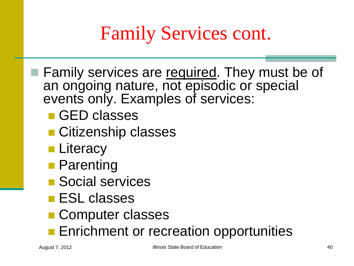## Family Services cont.

- Family services are required. They must be of an ongoing nature, not episodic or special events only. Examples of services:
	- GED classes
	- Citizenship classes
	- **Literacy**
	- **Parenting**
	- **Social services**
	- **ESL classes**
	- Computer classes
	- **Enrichment or recreation opportunities**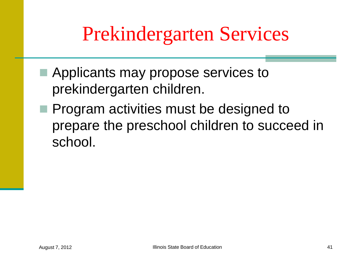## Prekindergarten Services

- Applicants may propose services to prekindergarten children.
- **Program activities must be designed to** prepare the preschool children to succeed in school.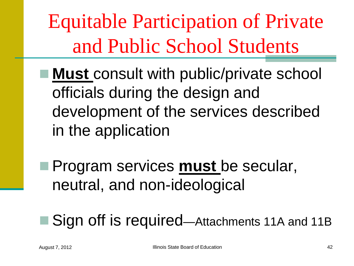Equitable Participation of Private and Public School Students

- Must consult with public/private school officials during the design and development of the services described in the application
- Program services **must** be secular, neutral, and non-ideological

■ Sign off is required—Attachments 11A and 11B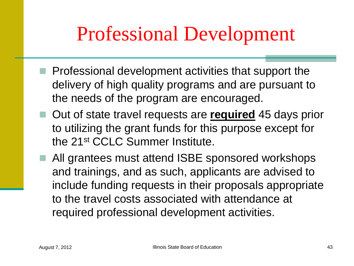## Professional Development

- $\blacksquare$  Professional development activities that support the delivery of high quality programs and are pursuant to the needs of the program are encouraged.
- Out of state travel requests are **required** 45 days prior to utilizing the grant funds for this purpose except for the 21st CCLC Summer Institute.
- All grantees must attend ISBE sponsored workshops and trainings, and as such, applicants are advised to include funding requests in their proposals appropriate to the travel costs associated with attendance at required professional development activities.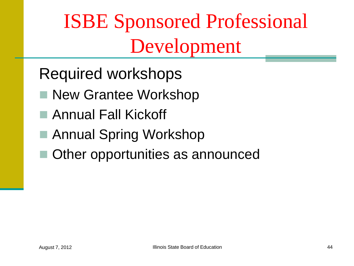## ISBE Sponsored Professional Development

Required workshops

- New Grantee Workshop
- Annual Fall Kickoff
- Annual Spring Workshop
- Other opportunities as announced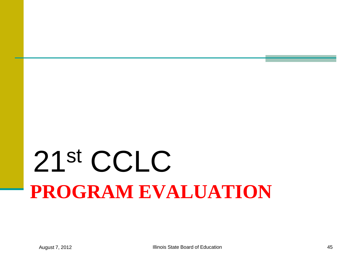# **PROGRAM EVALUATION** 21st CCLC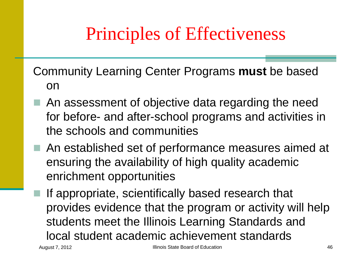## Principles of Effectiveness

Community Learning Center Programs **must** be based on

- An assessment of objective data regarding the need for before- and after-school programs and activities in the schools and communities
- An established set of performance measures aimed at ensuring the availability of high quality academic enrichment opportunities
	- If appropriate, scientifically based research that provides evidence that the program or activity will help students meet the Illinois Learning Standards and local student academic achievement standards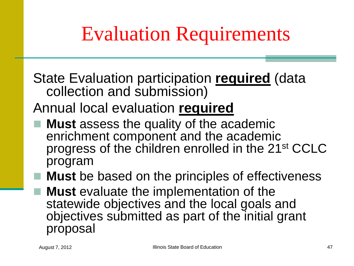## Evaluation Requirements

State Evaluation participation **required** (data collection and submission)

Annual local evaluation **required**

 **Must** assess the quality of the academic enrichment component and the academic progress of the children enrolled in the 21st CCLC program

■ Must be based on the principles of effectiveness ■ **Must** evaluate the implementation of the statewide objectives and the local goals and objectives submitted as part of the initial grant proposal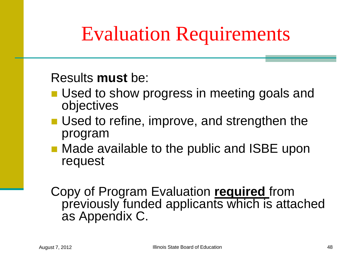## Evaluation Requirements

#### Results **must** be:

- **Used to show progress in meeting goals and** objectives
- Used to refine, improve, and strengthen the program
- Made available to the public and ISBE upon request

Copy of Program Evaluation **required** from previously funded applicants which is attached as Appendix C.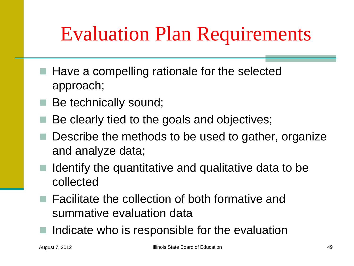## Evaluation Plan Requirements

- Have a compelling rationale for the selected approach;
- Be technically sound;
- Be clearly tied to the goals and objectives;
- Describe the methods to be used to gather, organize and analyze data;
- $\blacksquare$  Identify the quantitative and qualitative data to be collected
	- Facilitate the collection of both formative and summative evaluation data
- Indicate who is responsible for the evaluation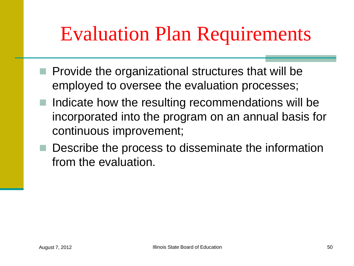## Evaluation Plan Requirements

- $\blacksquare$  Provide the organizational structures that will be employed to oversee the evaluation processes;
- Indicate how the resulting recommendations will be incorporated into the program on an annual basis for continuous improvement;
- Describe the process to disseminate the information from the evaluation.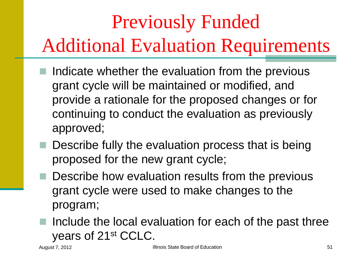# Previously Funded Additional Evaluation Requirements

- Indicate whether the evaluation from the previous grant cycle will be maintained or modified, and provide a rationale for the proposed changes or for continuing to conduct the evaluation as previously approved;
- **Describe fully the evaluation process that is being** proposed for the new grant cycle;
- **Describe how evaluation results from the previous** grant cycle were used to make changes to the program;
- Include the local evaluation for each of the past three years of 21st CCLC.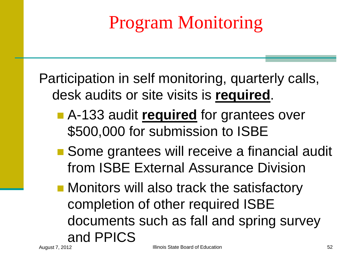## Program Monitoring

Participation in self monitoring, quarterly calls, desk audits or site visits is **required**.

- A-133 audit required for grantees over \$500,000 for submission to ISBE
- Some grantees will receive a financial audit from ISBE External Assurance Division
- **Monitors will also track the satisfactory** completion of other required ISBE documents such as fall and spring survey and PPICS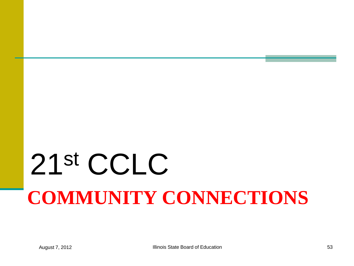# **COMMUNITY CONNECTIONS** 21st CCLC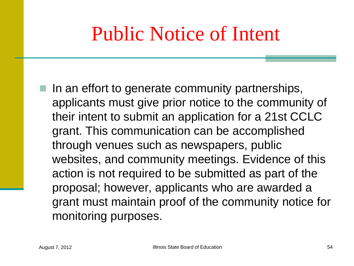## Public Notice of Intent

 $\blacksquare$  In an effort to generate community partnerships, applicants must give prior notice to the community of their intent to submit an application for a 21st CCLC grant. This communication can be accomplished through venues such as newspapers, public websites, and community meetings. Evidence of this action is not required to be submitted as part of the proposal; however, applicants who are awarded a grant must maintain proof of the community notice for monitoring purposes.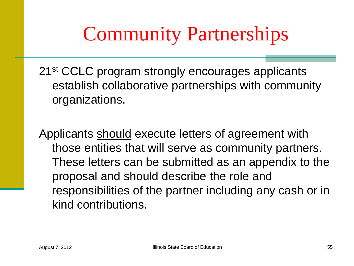## Community Partnerships

21<sup>st</sup> CCLC program strongly encourages applicants establish collaborative partnerships with community organizations.

Applicants should execute letters of agreement with those entities that will serve as community partners. These letters can be submitted as an appendix to the proposal and should describe the role and responsibilities of the partner including any cash or in kind contributions.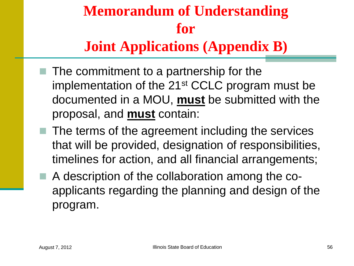#### **Memorandum of Understanding for Joint Applications (Appendix B)**

- $\blacksquare$  The commitment to a partnership for the implementation of the 21st CCLC program must be documented in a MOU, **must** be submitted with the proposal, and **must** contain:
- $\blacksquare$  The terms of the agreement including the services that will be provided, designation of responsibilities, timelines for action, and all financial arrangements;
- A description of the collaboration among the coapplicants regarding the planning and design of the program.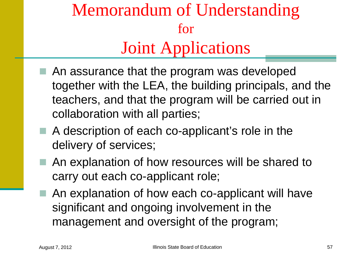### Memorandum of Understanding for Joint Applications

- An assurance that the program was developed together with the LEA, the building principals, and the teachers, and that the program will be carried out in collaboration with all parties;
- $\blacksquare$  A description of each co-applicant's role in the delivery of services;
- An explanation of how resources will be shared to carry out each co-applicant role;
	- An explanation of how each co-applicant will have significant and ongoing involvement in the management and oversight of the program;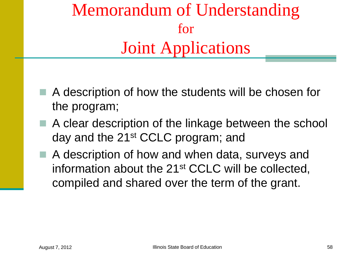### Memorandum of Understanding for Joint Applications

- A description of how the students will be chosen for the program;
- A clear description of the linkage between the school day and the 21st CCLC program; and
- A description of how and when data, surveys and information about the 21st CCLC will be collected, compiled and shared over the term of the grant.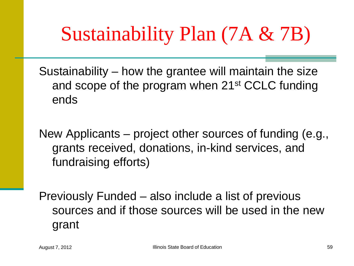## Sustainability Plan (7A & 7B)

Sustainability – how the grantee will maintain the size and scope of the program when 21st CCLC funding ends

New Applicants – project other sources of funding (e.g., grants received, donations, in-kind services, and fundraising efforts)

Previously Funded – also include a list of previous sources and if those sources will be used in the new grant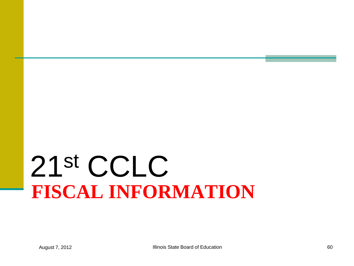# **FISCAL INFORMATION** 21st CCLC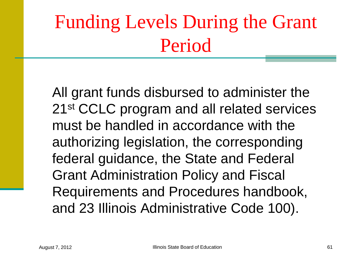## Funding Levels During the Grant Period

All grant funds disbursed to administer the 21<sup>st</sup> CCLC program and all related services must be handled in accordance with the authorizing legislation, the corresponding federal guidance, the State and Federal Grant Administration Policy and Fiscal Requirements and Procedures handbook, and 23 Illinois Administrative Code 100).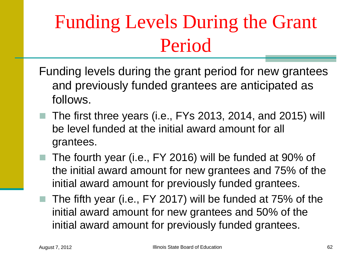## Funding Levels During the Grant Period

- Funding levels during the grant period for new grantees and previously funded grantees are anticipated as follows.
- The first three years (i.e., FYs 2013, 2014, and 2015) will be level funded at the initial award amount for all grantees.
- The fourth year (i.e., FY 2016) will be funded at 90% of the initial award amount for new grantees and 75% of the initial award amount for previously funded grantees.
- The fifth year (i.e., FY 2017) will be funded at 75% of the initial award amount for new grantees and 50% of the initial award amount for previously funded grantees.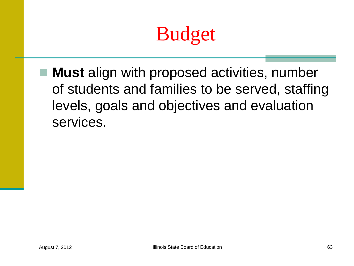## Budget

 **Must** align with proposed activities, number of students and families to be served, staffing levels, goals and objectives and evaluation services.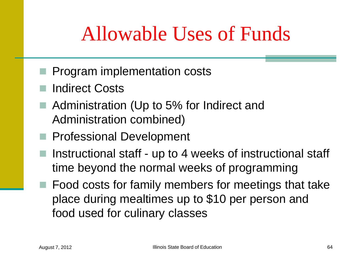## Allowable Uses of Funds

- **Program implementation costs**
- Indirect Costs
- Administration (Up to 5% for Indirect and Administration combined)
- **Professional Development**
- $\blacksquare$  Instructional staff up to 4 weeks of instructional staff time beyond the normal weeks of programming
- Food costs for family members for meetings that take place during mealtimes up to \$10 per person and food used for culinary classes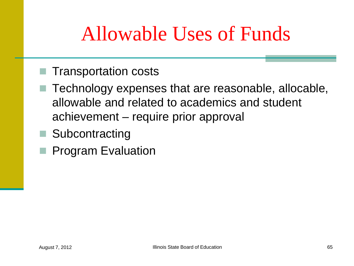## Allowable Uses of Funds

- Transportation costs
- Technology expenses that are reasonable, allocable, allowable and related to academics and student achievement – require prior approval
- Subcontracting
- **Program Evaluation**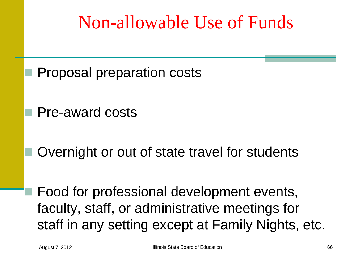### Non-allowable Use of Funds

- Proposal preparation costs
- Pre-award costs
- Overnight or out of state travel for students

 Food for professional development events, faculty, staff, or administrative meetings for staff in any setting except at Family Nights, etc.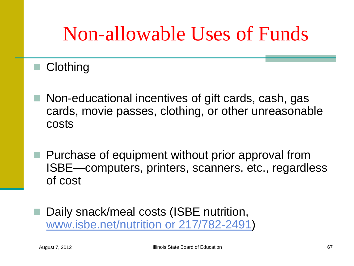## Non-allowable Uses of Funds

#### ■ Clothing

- Non-educational incentives of gift cards, cash, gas cards, movie passes, clothing, or other unreasonable costs
- $\blacksquare$  Purchase of equipment without prior approval from ISBE—computers, printers, scanners, etc., regardless of cost
	- Daily snack/meal costs (ISBE nutrition, [www.isbe.net/nutrition or 217/782-2491\)](http://www.isbe.net/nutrition or 217/782-2491)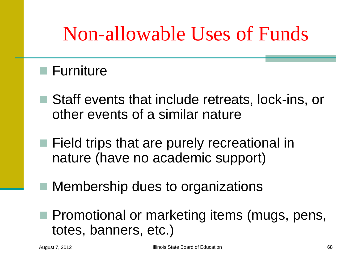## Non-allowable Uses of Funds

#### **■ Furniture**

- Staff events that include retreats, lock-ins, or other events of a similar nature
- Field trips that are purely recreational in nature (have no academic support)
	- Membership dues to organizations
- **Promotional or marketing items (mugs, pens,** totes, banners, etc.)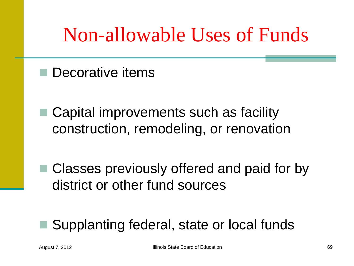## Non-allowable Uses of Funds

- Decorative items
- Capital improvements such as facility construction, remodeling, or renovation
- Classes previously offered and paid for by district or other fund sources

#### Supplanting federal, state or local funds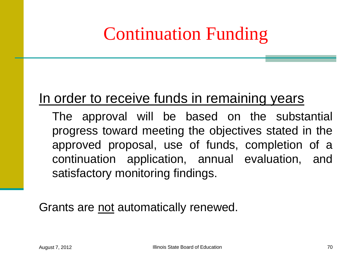## Continuation Funding

#### In order to receive funds in remaining years

The approval will be based on the substantial progress toward meeting the objectives stated in the approved proposal, use of funds, completion of a continuation application, annual evaluation, and satisfactory monitoring findings.

Grants are not automatically renewed.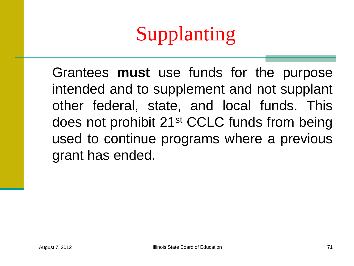# Supplanting

Grantees **must** use funds for the purpose intended and to supplement and not supplant other federal, state, and local funds. This does not prohibit 21st CCLC funds from being used to continue programs where a previous grant has ended.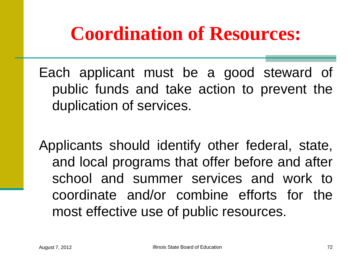## **Coordination of Resources:**

Each applicant must be a good steward of public funds and take action to prevent the duplication of services.

Applicants should identify other federal, state, and local programs that offer before and after school and summer services and work to coordinate and/or combine efforts for the most effective use of public resources.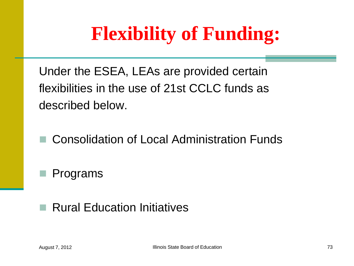#### **Flexibility of Funding:**

Under the ESEA, LEAs are provided certain flexibilities in the use of 21st CCLC funds as described below.

Consolidation of Local Administration Funds

Programs

#### ■ Rural Education Initiatives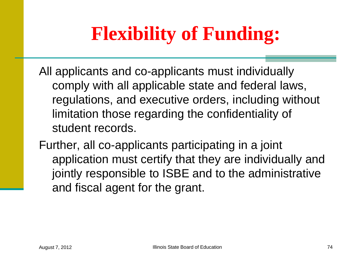## **Flexibility of Funding:**

- All applicants and co-applicants must individually comply with all applicable state and federal laws, regulations, and executive orders, including without limitation those regarding the confidentiality of student records.
- Further, all co-applicants participating in a joint application must certify that they are individually and jointly responsible to ISBE and to the administrative and fiscal agent for the grant.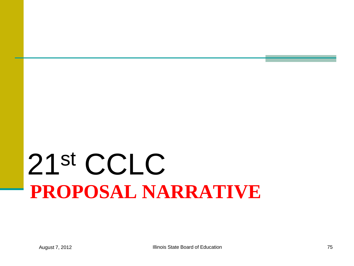# **PROPOSAL NARRATIVE** 21st CCLC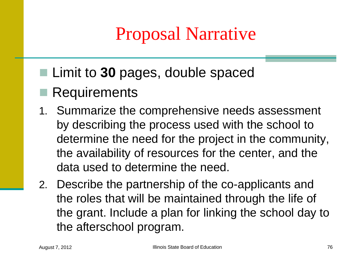#### Proposal Narrative

- Limit to 30 pages, double spaced
- Requirements
- 1. Summarize the comprehensive needs assessment by describing the process used with the school to determine the need for the project in the community, the availability of resources for the center, and the data used to determine the need.
- 2. Describe the partnership of the co-applicants and the roles that will be maintained through the life of the grant. Include a plan for linking the school day to the afterschool program.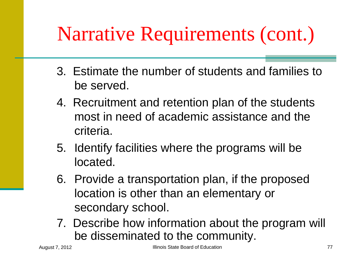- 3. Estimate the number of students and families to be served.
- 4. Recruitment and retention plan of the students most in need of academic assistance and the criteria.
- 5. Identify facilities where the programs will be located.
- 6. Provide a transportation plan, if the proposed location is other than an elementary or secondary school.
- 7. Describe how information about the program will be disseminated to the community.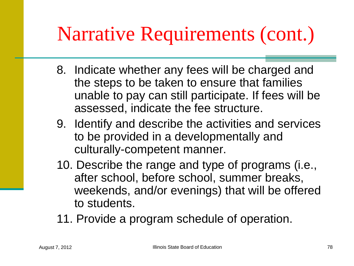- 8. Indicate whether any fees will be charged and the steps to be taken to ensure that families unable to pay can still participate. If fees will be assessed, indicate the fee structure.
- 9. Identify and describe the activities and services to be provided in a developmentally and culturally-competent manner.
- 10. Describe the range and type of programs (i.e., after school, before school, summer breaks, weekends, and/or evenings) that will be offered to students.
- 11. Provide a program schedule of operation.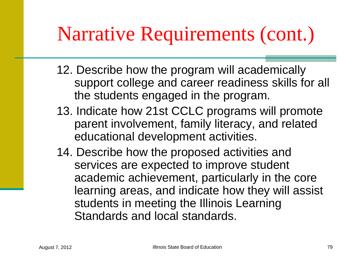- 12. Describe how the program will academically support college and career readiness skills for all the students engaged in the program.
- 13. Indicate how 21st CCLC programs will promote parent involvement, family literacy, and related educational development activities.
- 14. Describe how the proposed activities and services are expected to improve student academic achievement, particularly in the core learning areas, and indicate how they will assist students in meeting the Illinois Learning Standards and local standards.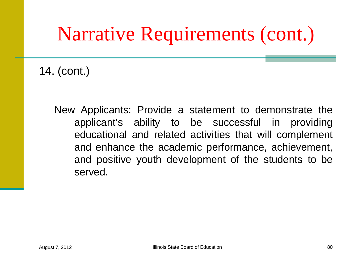14. (cont.)

New Applicants: Provide a statement to demonstrate the applicant's ability to be successful in providing educational and related activities that will complement and enhance the academic performance, achievement, and positive youth development of the students to be served.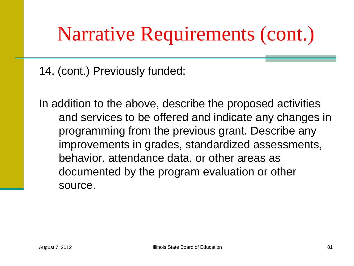14. (cont.) Previously funded:

In addition to the above, describe the proposed activities and services to be offered and indicate any changes in programming from the previous grant. Describe any improvements in grades, standardized assessments, behavior, attendance data, or other areas as documented by the program evaluation or other source.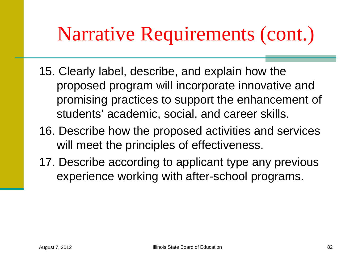- 15. Clearly label, describe, and explain how the proposed program will incorporate innovative and promising practices to support the enhancement of students' academic, social, and career skills.
- 16. Describe how the proposed activities and services will meet the principles of effectiveness.
- 17. Describe according to applicant type any previous experience working with after-school programs.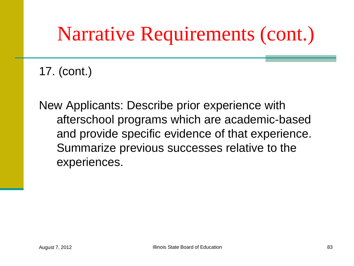17. (cont.)

New Applicants: Describe prior experience with afterschool programs which are academic-based and provide specific evidence of that experience. Summarize previous successes relative to the experiences.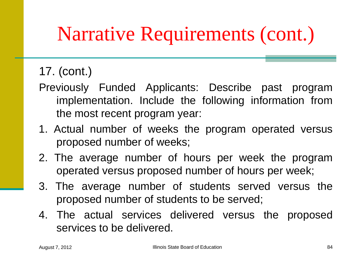#### 17. (cont.)

- Previously Funded Applicants: Describe past program implementation. Include the following information from the most recent program year:
- 1. Actual number of weeks the program operated versus proposed number of weeks;
- 2. The average number of hours per week the program operated versus proposed number of hours per week;
- 3. The average number of students served versus the proposed number of students to be served;
- 4. The actual services delivered versus the proposed services to be delivered.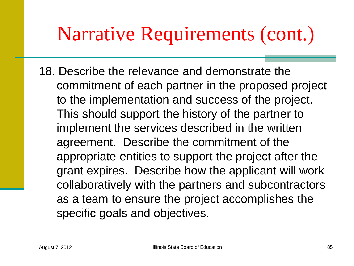18. Describe the relevance and demonstrate the commitment of each partner in the proposed project to the implementation and success of the project. This should support the history of the partner to implement the services described in the written agreement. Describe the commitment of the appropriate entities to support the project after the grant expires. Describe how the applicant will work collaboratively with the partners and subcontractors as a team to ensure the project accomplishes the specific goals and objectives.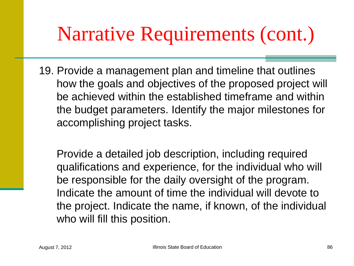19. Provide a management plan and timeline that outlines how the goals and objectives of the proposed project will be achieved within the established timeframe and within the budget parameters. Identify the major milestones for accomplishing project tasks.

Provide a detailed job description, including required qualifications and experience, for the individual who will be responsible for the daily oversight of the program. Indicate the amount of time the individual will devote to the project. Indicate the name, if known, of the individual who will fill this position.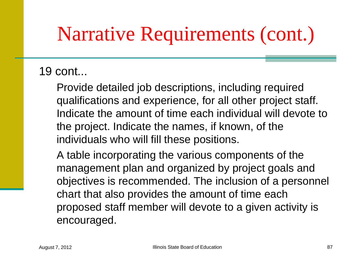#### 19 cont...

Provide detailed job descriptions, including required qualifications and experience, for all other project staff. Indicate the amount of time each individual will devote to the project. Indicate the names, if known, of the individuals who will fill these positions.

 A table incorporating the various components of the management plan and organized by project goals and objectives is recommended. The inclusion of a personnel chart that also provides the amount of time each proposed staff member will devote to a given activity is encouraged.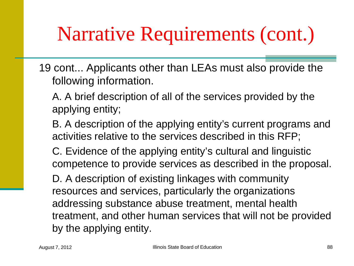- 19 cont... Applicants other than LEAs must also provide the following information.
	- A. A brief description of all of the services provided by the applying entity;
	- B. A description of the applying entity's current programs and activities relative to the services described in this RFP;
	- C. Evidence of the applying entity's cultural and linguistic competence to provide services as described in the proposal.
	- D. A description of existing linkages with community resources and services, particularly the organizations addressing substance abuse treatment, mental health treatment, and other human services that will not be provided by the applying entity.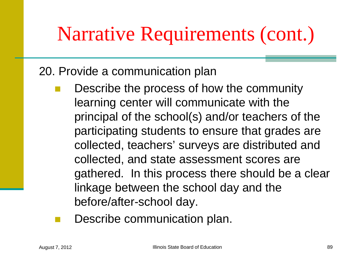20. Provide a communication plan

- Describe the process of how the community learning center will communicate with the principal of the school(s) and/or teachers of the participating students to ensure that grades are collected, teachers' surveys are distributed and collected, and state assessment scores are gathered. In this process there should be a clear linkage between the school day and the before/after-school day.
- Describe communication plan.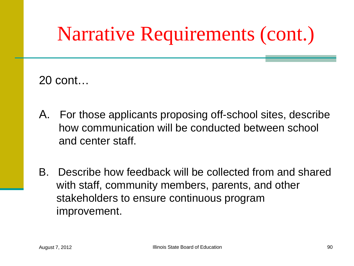20 cont…

- A. For those applicants proposing off-school sites, describe how communication will be conducted between school and center staff.
- B. Describe how feedback will be collected from and shared with staff, community members, parents, and other stakeholders to ensure continuous program improvement.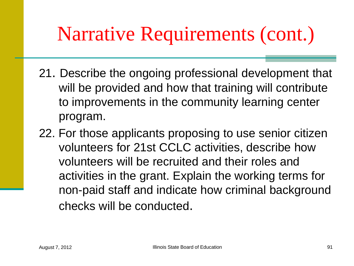- 21. Describe the ongoing professional development that will be provided and how that training will contribute to improvements in the community learning center program.
- 22. For those applicants proposing to use senior citizen volunteers for 21st CCLC activities, describe how volunteers will be recruited and their roles and activities in the grant. Explain the working terms for non-paid staff and indicate how criminal background checks will be conducted.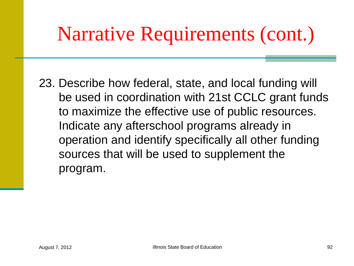23. Describe how federal, state, and local funding will be used in coordination with 21st CCLC grant funds to maximize the effective use of public resources. Indicate any afterschool programs already in operation and identify specifically all other funding sources that will be used to supplement the program.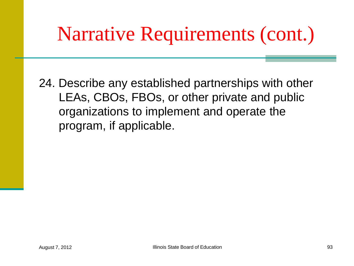24. Describe any established partnerships with other LEAs, CBOs, FBOs, or other private and public organizations to implement and operate the program, if applicable.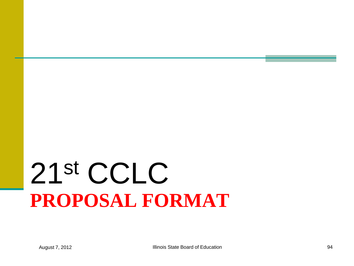# **PROPOSAL FORMAT** 21st CCLC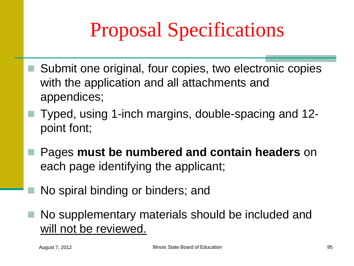# Proposal Specifications

- Submit one original, four copies, two electronic copies with the application and all attachments and appendices;
	- Typed, using 1-inch margins, double-spacing and 12 point font;
	- Pages **must be numbered and contain headers** on each page identifying the applicant;
		- No spiral binding or binders; and
- No supplementary materials should be included and will not be reviewed.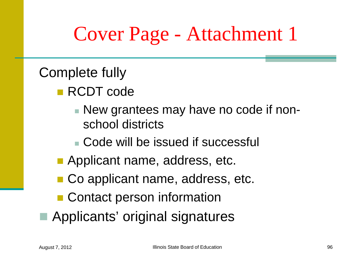#### Cover Page - Attachment 1

#### Complete fully

- RCDT code
	- New grantees may have no code if nonschool districts
	- Code will be issued if successful
- **Applicant name, address, etc.**
- Co applicant name, address, etc.
- Contact person information
- Applicants' original signatures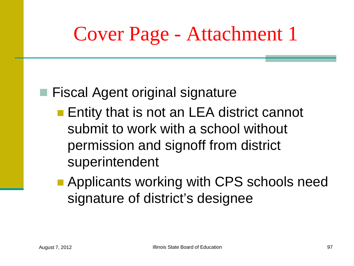#### Cover Page - Attachment 1

#### ■ Fiscal Agent original signature

- **Entity that is not an LEA district cannot** submit to work with a school without permission and signoff from district superintendent
- **Applicants working with CPS schools need** signature of district's designee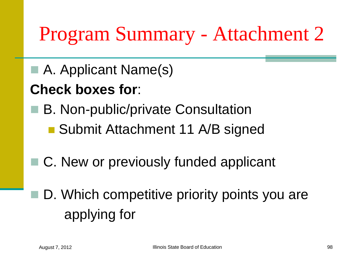## Program Summary - Attachment 2

■ A. Applicant Name(s)

#### **Check boxes for**:

- B. Non-public/private Consultation
	- Submit Attachment 11 A/B signed
- C. New or previously funded applicant
	- D. Which competitive priority points you are applying for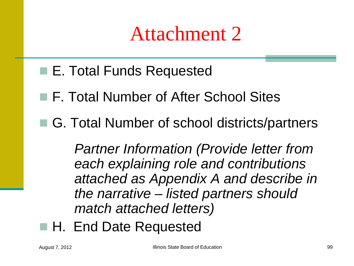#### Attachment 2

- E. Total Funds Requested
- F. Total Number of After School Sites
- G. Total Number of school districts/partners

 *Partner Information (Provide letter from each explaining role and contributions attached as Appendix A and describe in the narrative – listed partners should match attached letters)*

■ H. End Date Requested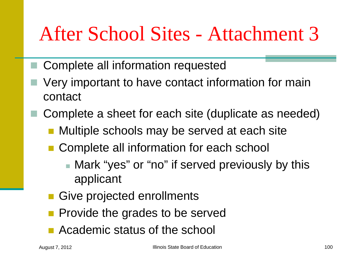#### After School Sites - Attachment 3

- Complete all information requested
- Very important to have contact information for main contact
	- Complete a sheet for each site (duplicate as needed)
		- **Nultiple schools may be served at each site**
		- Complete all information for each school
			- Mark "yes" or "no" if served previously by this applicant
		- **Give projected enrollments**
		- **Provide the grades to be served**
		- **Academic status of the school**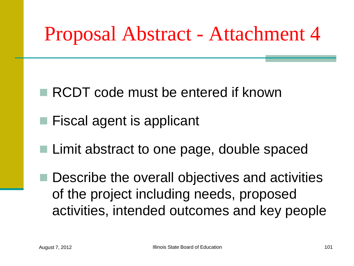#### Proposal Abstract - Attachment 4

- RCDT code must be entered if known
- Fiscal agent is applicant
- **Limit abstract to one page, double spaced**

 Describe the overall objectives and activities of the project including needs, proposed activities, intended outcomes and key people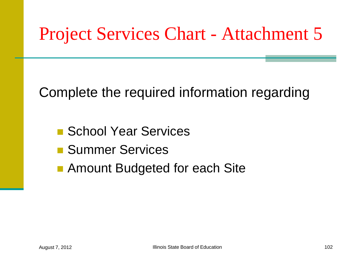#### Project Services Chart - Attachment 5

Complete the required information regarding

- School Year Services
- **Summer Services**
- Amount Budgeted for each Site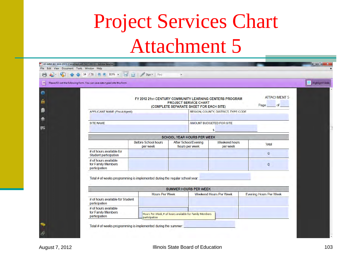## Project Services Chart Attachment 5

| Please fill out the following form. You can save data typed into this form. | ● ◆ → 14 / 51 ● 113% → 日 ☆ / Sign → Find                                    |                                                         |                                                                         |                                     |                                | Highlight Fields |
|-----------------------------------------------------------------------------|-----------------------------------------------------------------------------|---------------------------------------------------------|-------------------------------------------------------------------------|-------------------------------------|--------------------------------|------------------|
|                                                                             |                                                                             |                                                         |                                                                         |                                     |                                |                  |
|                                                                             |                                                                             | FY 2012 21st CENTURY COMMUNITY LEARNING CENTERS PROGRAM | <b>PROJECT SERVICE CHART</b><br>(COMPLETE SEPARATE SHEET FOR EACH SITE) |                                     | <b>ATTACHMENT 5</b><br>Page of |                  |
|                                                                             | <b>APPLICANT NAME (Fiscal Agent)</b>                                        |                                                         |                                                                         | REGION, COUNTY, DISTRICT, TYPE CODE |                                |                  |
|                                                                             | <b>SITE NAME</b>                                                            |                                                         |                                                                         | AMOUNT BUDGETED FOR SITE            |                                |                  |
|                                                                             |                                                                             |                                                         |                                                                         | \$                                  |                                |                  |
|                                                                             |                                                                             |                                                         | <b>SCHOOL YEAR HOURS PER WEEK</b>                                       |                                     |                                |                  |
|                                                                             |                                                                             | <b>Before School hours</b><br>per week                  | <b>After School/Evening</b><br>hours per week                           | <b>Weekend hours</b><br>per week    | <b>Total</b>                   |                  |
|                                                                             | # of hours available for<br><b>Student participation</b>                    |                                                         |                                                                         |                                     | $\mathbf{0}$                   |                  |
|                                                                             | # of hours available<br>for Family Members<br>participation                 |                                                         |                                                                         |                                     | $\overline{0}$                 |                  |
|                                                                             | Total # of weeks programming is implemented during the regular school year: |                                                         |                                                                         |                                     |                                |                  |
|                                                                             |                                                                             |                                                         |                                                                         |                                     |                                |                  |
|                                                                             |                                                                             | <b>Hours Per Week</b>                                   | <b>SUMMER HOURS PER WEEK</b>                                            | <b>Weekend Hours Per Week</b>       | <b>Evening Hours Per Week</b>  |                  |
|                                                                             | # of hours available for Student<br>participation                           |                                                         |                                                                         |                                     |                                |                  |
|                                                                             | # of hours available<br>for Family Members<br>participation                 | participation                                           | Hours Per Week_# of hours available for Family Members                  |                                     |                                |                  |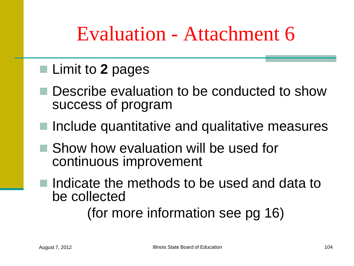#### Evaluation - Attachment 6

#### ■ Limit to 2 pages

- Describe evaluation to be conducted to show success of program
- Include quantitative and qualitative measures
- Show how evaluation will be used for continuous improvement
- Indicate the methods to be used and data to be collected

(for more information see pg 16)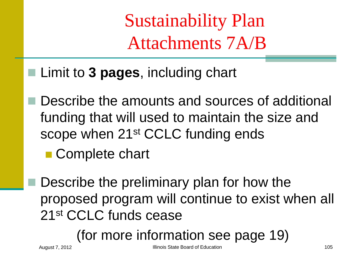Sustainability Plan Attachments 7A/B

- Limit to **3 pages**, including chart
	- Describe the amounts and sources of additional funding that will used to maintain the size and scope when 21<sup>st</sup> CCLC funding ends
		- Complete chart
	- Describe the preliminary plan for how the proposed program will continue to exist when all 21st CCLC funds cease

(for more information see page 19)

August 7, 2012 **Illinois State Board of Education** 105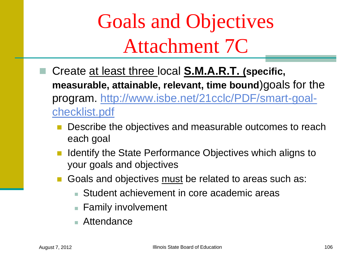Goals and Objectives Attachment 7C

- Create at least three local **S.M.A.R.T. (specific, measurable, attainable, relevant, time bound**)goals for the program. [http://www.isbe.net/21cclc/PDF/smart-goal](http://www.isbe.net/21cclc/PDF/smart-goal-checklist.pdf)[checklist.pdf](http://www.isbe.net/21cclc/PDF/smart-goal-checklist.pdf) 
	- Describe the objectives and measurable outcomes to reach each goal
	- Identify the State Performance Objectives which aligns to your goals and objectives
	- Goals and objectives must be related to areas such as:
		- Student achievement in core academic areas
		- **Family involvement**
		- Attendance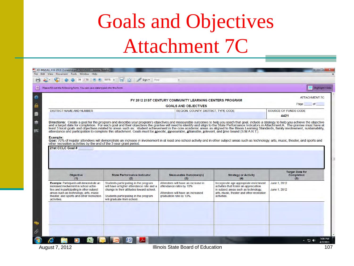## Goals and Objectives Attachment 7C

| Please fill out the following form. You can save data typed into this form.                                                                                                                                                                  |                                                                                                                                                                                                      |                                                                                                                              |                                                                                                                                                                                                                                | Highlight Fields                            |
|----------------------------------------------------------------------------------------------------------------------------------------------------------------------------------------------------------------------------------------------|------------------------------------------------------------------------------------------------------------------------------------------------------------------------------------------------------|------------------------------------------------------------------------------------------------------------------------------|--------------------------------------------------------------------------------------------------------------------------------------------------------------------------------------------------------------------------------|---------------------------------------------|
|                                                                                                                                                                                                                                              |                                                                                                                                                                                                      |                                                                                                                              |                                                                                                                                                                                                                                |                                             |
|                                                                                                                                                                                                                                              |                                                                                                                                                                                                      | FY 2012 21ST CENTURY COMMUNITY LEARNING CENTERS PROGRAM                                                                      |                                                                                                                                                                                                                                | <b>ATTACHMENT 7C</b>                        |
|                                                                                                                                                                                                                                              |                                                                                                                                                                                                      | <b>GOALS AND OBJECTIVES</b>                                                                                                  |                                                                                                                                                                                                                                | Page<br><b>of</b>                           |
| <b>DISTRICT NAME AND NUMBER</b>                                                                                                                                                                                                              |                                                                                                                                                                                                      | REGION, COUNTY, DISTRICT, TYPE CODE                                                                                          |                                                                                                                                                                                                                                | SOURCE OF FUNDS CODE                        |
|                                                                                                                                                                                                                                              |                                                                                                                                                                                                      |                                                                                                                              | Directions: Create a goal for the program and describe your program's objectives and measurable outcomes to help you reach that goal, include a strategy to help you achieve the objective and a target date for completion. F | 4421                                        |
| other recreation activities by the end of the 3 year grant period.<br>21st CCLC Goal #                                                                                                                                                       | Goal: 70% of regular attendees will demonstrate an increase in involvement in at least one school activity and in other subject areas such as technology, arts, music, theater, and sports and       |                                                                                                                              |                                                                                                                                                                                                                                |                                             |
| <b>Objective</b>                                                                                                                                                                                                                             | <b>State Performance Indicator</b>                                                                                                                                                                   | <b>Measurable Outcomes(s)</b>                                                                                                | <b>Strategy or Activity</b>                                                                                                                                                                                                    | <b>Target Date for</b><br><b>Completion</b> |
| (1)                                                                                                                                                                                                                                          | (2)                                                                                                                                                                                                  | (3)                                                                                                                          | (4)                                                                                                                                                                                                                            | (5)                                         |
| Example: Participants will demonstrate an<br>increased involvement in school activi-<br>ties and in participating in other subject<br>areas such as technology, arts, music<br>theater, and sports and other recreation<br><i>activities</i> | Students participating in the program<br>will have a higher attendance rate and a<br>change in their attitudes toward school.<br>Students participating in the program<br>will graduate from school. | Attendees will have an increase in<br>attendance rates by 10%<br>Attendees will have an increased<br>graduation rate by 10%. | Incorporate age appropriate enrichment<br>activities that foster an appreciation<br>in subject areas such as technology,<br>arts, music, theater and other recreation<br>activities.                                           | June 1, 2012<br>June 1, 2012                |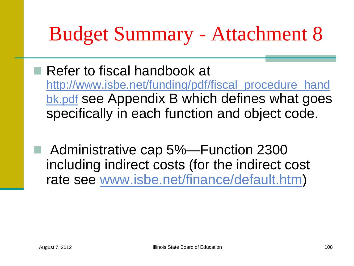#### Budget Summary - Attachment 8

- Refer to fiscal handbook at [http://www.isbe.net/funding/pdf/fiscal\\_procedure\\_hand](http://www.isbe.net/funding/pdf/fiscal_procedure_handbk.pdf) [bk.pdf](http://www.isbe.net/funding/pdf/fiscal_procedure_handbk.pdf) see Appendix B which defines what goes specifically in each function and object code.
- Administrative cap 5%—Function 2300 including indirect costs (for the indirect cost rate see [www.isbe.net/finance/default.htm\)](http://www.isbe.net/finance/default.htm)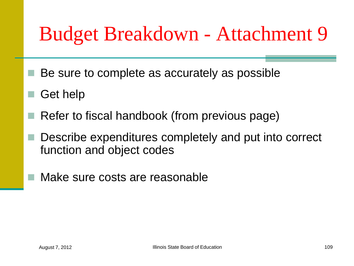#### Budget Breakdown - Attachment 9

- $\blacksquare$  Be sure to complete as accurately as possible
- Get help
- Refer to fiscal handbook (from previous page)
- Describe expenditures completely and put into correct function and object codes
- Make sure costs are reasonable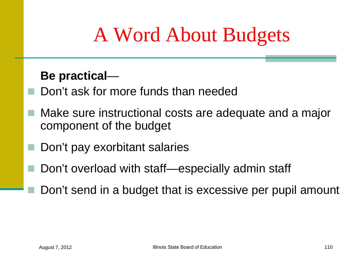## A Word About Budgets

#### **Be practical**—

- Don't ask for more funds than needed
- Make sure instructional costs are adequate and a major component of the budget
- Don't pay exorbitant salaries
- Don't overload with staff—especially admin staff
	- Don't send in a budget that is excessive per pupil amount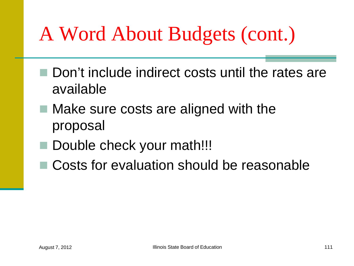#### A Word About Budgets (cont.)

- Don't include indirect costs until the rates are available
- $\blacksquare$  Make sure costs are aligned with the proposal
- Double check your math!!!
- Costs for evaluation should be reasonable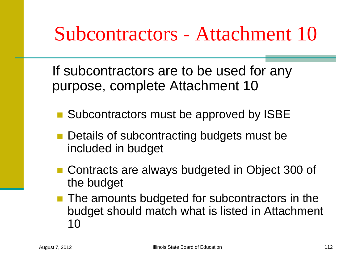#### Subcontractors - Attachment 10

If subcontractors are to be used for any purpose, complete Attachment 10

- Subcontractors must be approved by ISBE
- **Details of subcontracting budgets must be** included in budget
- Contracts are always budgeted in Object 300 of the budget
- The amounts budgeted for subcontractors in the budget should match what is listed in Attachment 10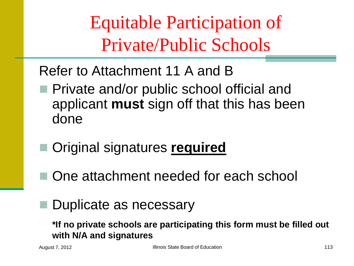Equitable Participation of Private/Public Schools

#### Refer to Attachment 11 A and B

- **Private and/or public school official and** applicant **must** sign off that this has been done
	- Original signatures **required**
	- One attachment needed for each school
	- Duplicate as necessary

**\*If no private schools are participating this form must be filled out with N/A and signatures**

August 7, 2012 **Illinois State Board of Education** 113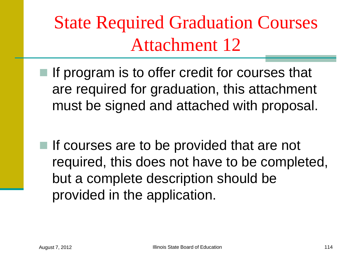State Required Graduation Courses Attachment 12

- $\blacksquare$  If program is to offer credit for courses that are required for graduation, this attachment must be signed and attached with proposal.
- $\blacksquare$  If courses are to be provided that are not required, this does not have to be completed, but a complete description should be provided in the application.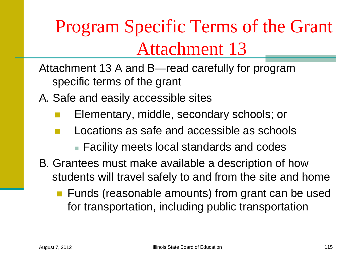#### Program Specific Terms of the Grant Attachment 13

- Attachment 13 A and B—read carefully for program specific terms of the grant
- A. Safe and easily accessible sites
	- Elementary, middle, secondary schools; or
	- Locations as safe and accessible as schools
		- Facility meets local standards and codes
- B. Grantees must make available a description of how students will travel safely to and from the site and home
	- **Funds (reasonable amounts) from grant can be used** for transportation, including public transportation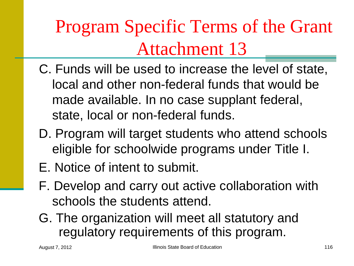#### Program Specific Terms of the Grant Attachment 13

- C. Funds will be used to increase the level of state, local and other non-federal funds that would be made available. In no case supplant federal, state, local or non-federal funds.
- D. Program will target students who attend schools eligible for schoolwide programs under Title I.
- E. Notice of intent to submit.
- F. Develop and carry out active collaboration with schools the students attend.
- G. The organization will meet all statutory and regulatory requirements of this program.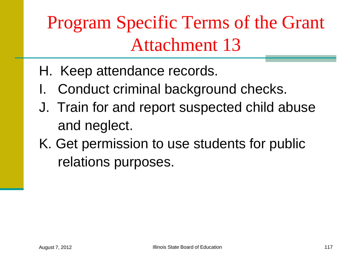Program Specific Terms of the Grant Attachment 13

- H. Keep attendance records.
- I. Conduct criminal background checks.
- J. Train for and report suspected child abuse and neglect.
- K. Get permission to use students for public relations purposes.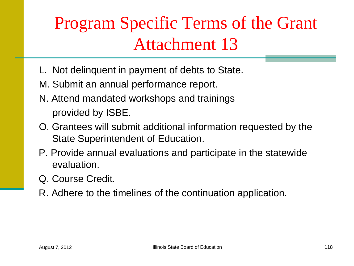#### Program Specific Terms of the Grant Attachment 13

- L. Not delinquent in payment of debts to State.
- M. Submit an annual performance report.
- N. Attend mandated workshops and trainings provided by ISBE.
- O. Grantees will submit additional information requested by the State Superintendent of Education.
- P. Provide annual evaluations and participate in the statewide evaluation.
- Q. Course Credit.
- R. Adhere to the timelines of the continuation application.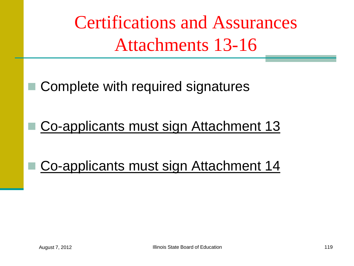Certifications and Assurances Attachments 13-16

Complete with required signatures

Co-applicants must sign Attachment 13

Co-applicants must sign Attachment 14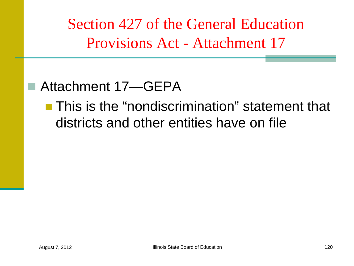Section 427 of the General Education Provisions Act - Attachment 17

#### ■ Attachment 17—GEPA

**This is the "nondiscrimination" statement that** districts and other entities have on file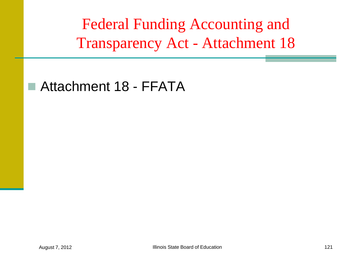Federal Funding Accounting and Transparency Act - Attachment 18

#### ■ Attachment 18 - FFATA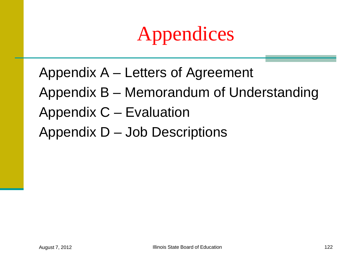## Appendices

- Appendix A Letters of Agreement
- Appendix B Memorandum of Understanding
- Appendix C Evaluation
- Appendix D Job Descriptions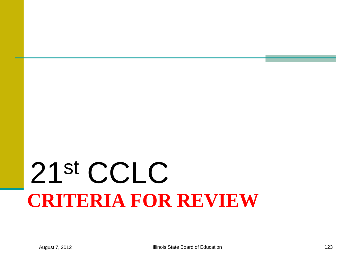# **CRITERIA FOR REVIEW** 21st CCLC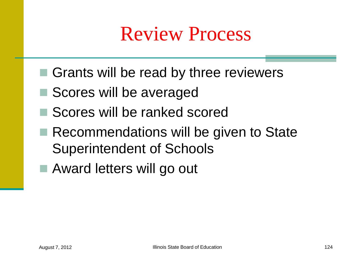#### Review Process

- Grants will be read by three reviewers
- Scores will be averaged
- Scores will be ranked scored
- Recommendations will be given to State Superintendent of Schools
- Award letters will go out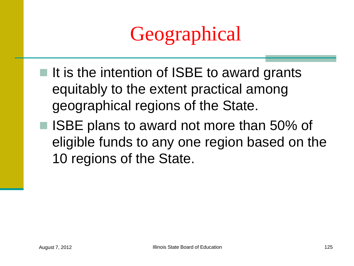## Geographical

- $\blacksquare$  It is the intention of ISBE to award grants equitably to the extent practical among geographical regions of the State.
- ISBE plans to award not more than 50% of eligible funds to any one region based on the 10 regions of the State.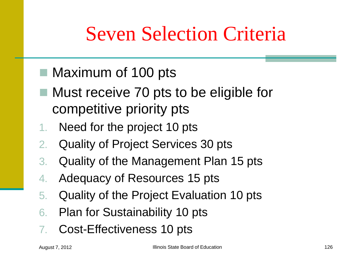#### Seven Selection Criteria

- Maximum of 100 pts
- Must receive 70 pts to be eligible for competitive priority pts
- 1. Need for the project 10 pts
- 2. Quality of Project Services 30 pts
- 3. Quality of the Management Plan 15 pts
- 4. Adequacy of Resources 15 pts
- 5. Quality of the Project Evaluation 10 pts
- 6. Plan for Sustainability 10 pts
- Cost-Effectiveness 10 pts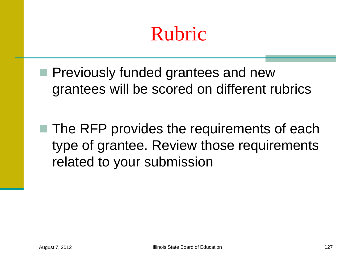#### Rubric

- **Previously funded grantees and new** grantees will be scored on different rubrics
- $\blacksquare$  The RFP provides the requirements of each type of grantee. Review those requirements related to your submission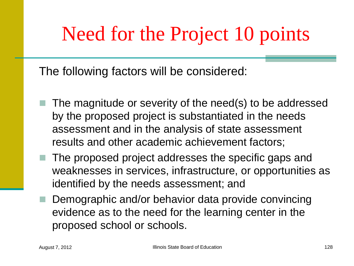#### Need for the Project 10 points

The following factors will be considered:

- The magnitude or severity of the need(s) to be addressed by the proposed project is substantiated in the needs assessment and in the analysis of state assessment results and other academic achievement factors;
- $\blacksquare$  The proposed project addresses the specific gaps and weaknesses in services, infrastructure, or opportunities as identified by the needs assessment; and
- Demographic and/or behavior data provide convincing evidence as to the need for the learning center in the proposed school or schools.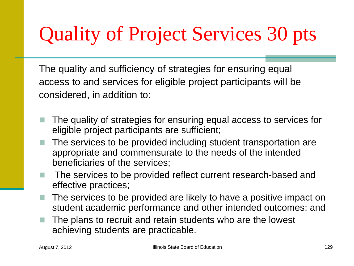## Quality of Project Services 30 pts

The quality and sufficiency of strategies for ensuring equal access to and services for eligible project participants will be considered, in addition to:

- The quality of strategies for ensuring equal access to services for eligible project participants are sufficient;
- The services to be provided including student transportation are appropriate and commensurate to the needs of the intended beneficiaries of the services;
- The services to be provided reflect current research-based and effective practices;
- The services to be provided are likely to have a positive impact on student academic performance and other intended outcomes; and
- The plans to recruit and retain students who are the lowest achieving students are practicable.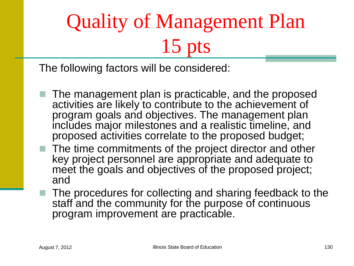# Quality of Management Plan 15 pts

The following factors will be considered:

- The management plan is practicable, and the proposed activities are likely to contribute to the achievement of program goals and objectives. The management plan includes major milestones and a realistic timeline, and proposed activities correlate to the proposed budget;
- $\blacksquare$  The time commitments of the project director and other key project personnel are appropriate and adequate to meet the goals and objectives of the proposed project; and
	- The procedures for collecting and sharing feedback to the staff and the community for the purpose of continuous program improvement are practicable.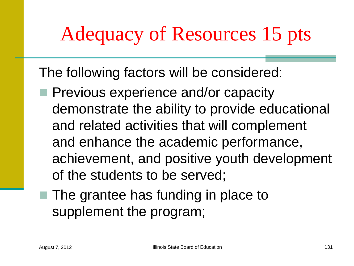## Adequacy of Resources 15 pts

The following factors will be considered:

- **Previous experience and/or capacity** demonstrate the ability to provide educational and related activities that will complement and enhance the academic performance, achievement, and positive youth development of the students to be served;
- $\blacksquare$  The grantee has funding in place to supplement the program;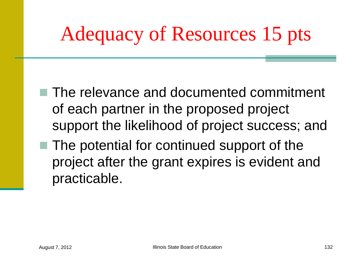# Adequacy of Resources 15 pts

- The relevance and documented commitment of each partner in the proposed project support the likelihood of project success; and
- $\blacksquare$  The potential for continued support of the project after the grant expires is evident and practicable.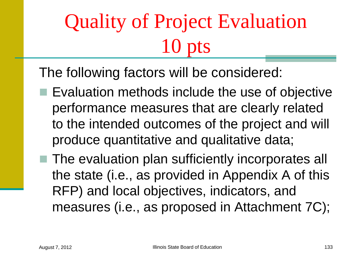# Quality of Project Evaluation  $\overline{10}$

The following factors will be considered:

- Evaluation methods include the use of objective performance measures that are clearly related to the intended outcomes of the project and will produce quantitative and qualitative data;
- The evaluation plan sufficiently incorporates all the state (i.e., as provided in Appendix A of this RFP) and local objectives, indicators, and measures (i.e., as proposed in Attachment 7C);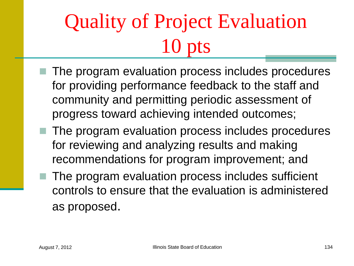# Quality of Project Evaluation  $\overline{10}$

- The program evaluation process includes procedures for providing performance feedback to the staff and community and permitting periodic assessment of progress toward achieving intended outcomes;
- The program evaluation process includes procedures for reviewing and analyzing results and making recommendations for program improvement; and
- The program evaluation process includes sufficient controls to ensure that the evaluation is administered as proposed.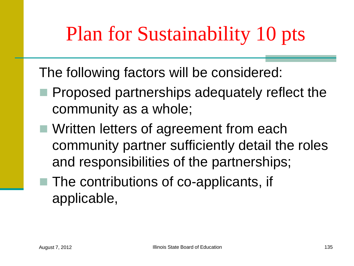## Plan for Sustainability 10 pts

The following factors will be considered:

- **Proposed partnerships adequately reflect the** community as a whole;
- **Net Written letters of agreement from each Venetia** community partner sufficiently detail the roles and responsibilities of the partnerships;
- The contributions of co-applicants, if applicable,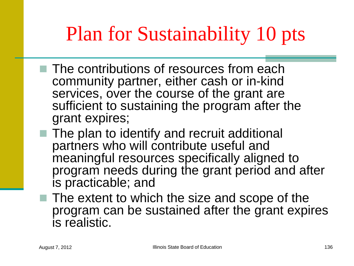## Plan for Sustainability 10 pts

- $\blacksquare$  The contributions of resources from each community partner, either cash or in-kind services, over the course of the grant are sufficient to sustaining the program after the grant expires;
- The plan to identify and recruit additional partners who will contribute useful and meaningful resources specifically aligned to program needs during the grant period and after is practicable; and
- $\blacksquare$  The extent to which the size and scope of the program can be sustained after the grant expires is realistic.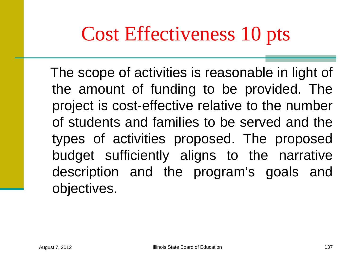#### Cost Effectiveness 10 pts

 The scope of activities is reasonable in light of the amount of funding to be provided. The project is cost-effective relative to the number of students and families to be served and the types of activities proposed. The proposed budget sufficiently aligns to the narrative description and the program's goals and objectives.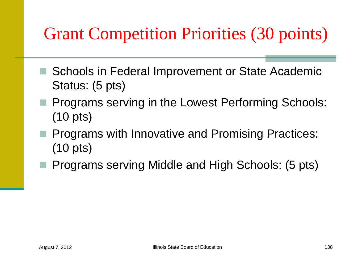#### Grant Competition Priorities (30 points)

- Schools in Federal Improvement or State Academic Status: (5 pts)
- **Programs serving in the Lowest Performing Schools:** (10 pts)
- **Programs with Innovative and Promising Practices:** (10 pts)
- **Programs serving Middle and High Schools: (5 pts)**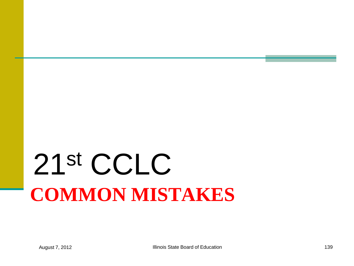# **COMMON MISTAKES** 21st CCLC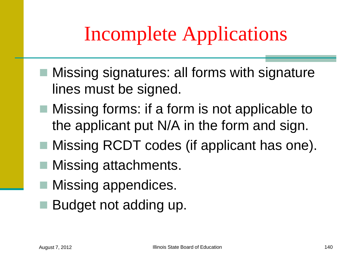#### Incomplete Applications

- Missing signatures: all forms with signature lines must be signed.
- **Missing forms: if a form is not applicable to** the applicant put N/A in the form and sign.
- Missing RCDT codes (if applicant has one).
- Missing attachments.
- Missing appendices.
- Budget not adding up.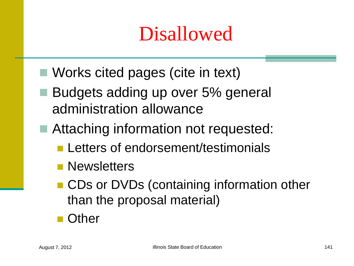### Disallowed

- Works cited pages (cite in text)
- Budgets adding up over 5% general administration allowance
- Attaching information not requested:
	- **Letters of endorsement/testimonials**
	- **Newsletters**
	- CDs or DVDs (containing information other than the proposal material)
	- Other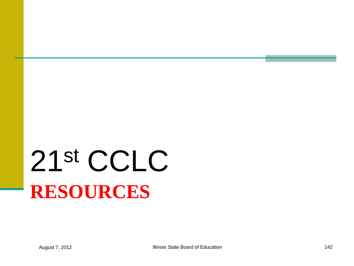# **RESOURCES** 21st CCLC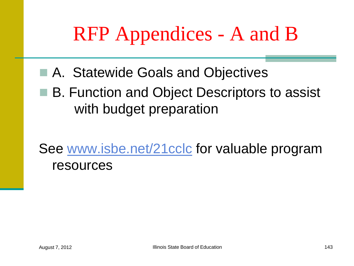## RFP Appendices - A and B

- A. Statewide Goals and Objectives
- B. Function and Object Descriptors to assist with budget preparation

See [www.isbe.net/21cclc](http://www.isbe.net/21stcclc) for valuable program resources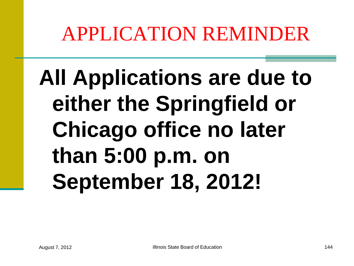#### APPLICATION REMINDER

# **All Applications are due to either the Springfield or Chicago office no later than 5:00 p.m. on September 18, 2012!**